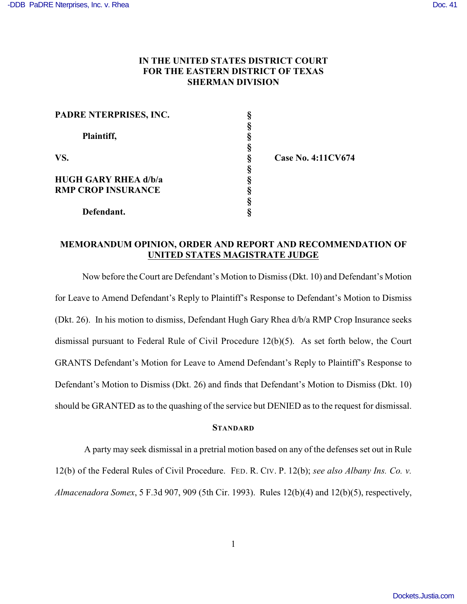## **IN THE UNITED STATES DISTRICT COURT FOR THE EASTERN DISTRICT OF TEXAS SHERMAN DIVISION**

| PADRE NTERPRISES, INC.      |   |
|-----------------------------|---|
|                             |   |
| Plaintiff,                  | ş |
|                             |   |
| VS.                         |   |
|                             |   |
| <b>HUGH GARY RHEA d/b/a</b> |   |
| <b>RMP CROP INSURANCE</b>   |   |
|                             |   |
| Defendant.                  |   |

**VS. § Case No. 4:11CV674**

## **MEMORANDUM OPINION, ORDER AND REPORT AND RECOMMENDATION OF UNITED STATES MAGISTRATE JUDGE**

Now before the Court are Defendant's Motion to Dismiss (Dkt. 10) and Defendant's Motion for Leave to Amend Defendant's Reply to Plaintiff's Response to Defendant's Motion to Dismiss (Dkt. 26). In his motion to dismiss, Defendant Hugh Gary Rhea d/b/a RMP Crop Insurance seeks dismissal pursuant to Federal Rule of Civil Procedure 12(b)(5). As set forth below, the Court GRANTS Defendant's Motion for Leave to Amend Defendant's Reply to Plaintiff's Response to Defendant's Motion to Dismiss (Dkt. 26) and finds that Defendant's Motion to Dismiss (Dkt. 10) should be GRANTED as to the quashing of the service but DENIED as to the request for dismissal.

## **STANDARD**

 A party may seek dismissal in a pretrial motion based on any of the defenses set out in Rule 12(b) of the Federal Rules of Civil Procedure. FED. R. CIV. P. 12(b); *see also Albany Ins. Co. v. Almacenadora Somex*, 5 F.3d 907, 909 (5th Cir. 1993). Rules 12(b)(4) and 12(b)(5), respectively,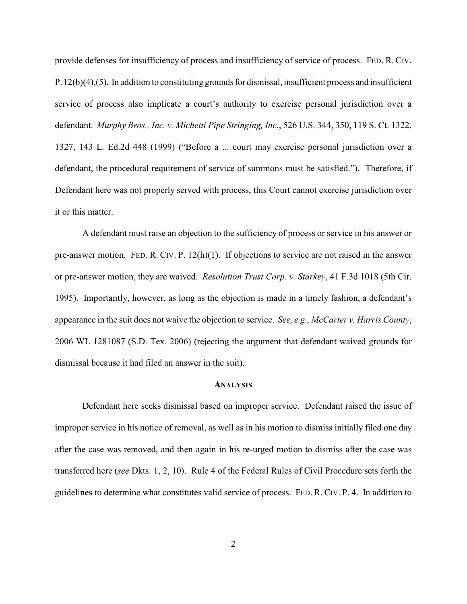provide defenses for insufficiency of process and insufficiency of service of process. FED. R. CIV. P.12(b)(4),(5). In addition to constituting grounds for dismissal, insufficient process and insufficient service of process also implicate a court's authority to exercise personal jurisdiction over a defendant. *Murphy Bros., Inc. v. Michetti Pipe Stringing, Inc.*, 526 U.S. 344, 350, 119 S. Ct. 1322, 1327, 143 L. Ed.2d 448 (1999) ("Before a ... court may exercise personal jurisdiction over a defendant, the procedural requirement of service of summons must be satisfied."). Therefore, if Defendant here was not properly served with process, this Court cannot exercise jurisdiction over it or this matter.

A defendant must raise an objection to the sufficiency of process or service in his answer or pre-answer motion. FED. R. CIV. P. 12(h)(1). If objections to service are not raised in the answer or pre-answer motion, they are waived. *Resolution Trust Corp. v. Starkey*, 41 F.3d 1018 (5th Cir. 1995). Importantly, however, as long as the objection is made in a timely fashion, a defendant's appearance in the suit does not waive the objection to service. *See, e.g., McCarter v. Harris County*, 2006 WL 1281087 (S.D. Tex. 2006) (rejecting the argument that defendant waived grounds for dismissal because it had filed an answer in the suit).

## **ANALYSIS**

Defendant here seeks dismissal based on improper service. Defendant raised the issue of improper service in his notice of removal, as well as in his motion to dismiss initially filed one day after the case was removed, and then again in his re-urged motion to dismiss after the case was transferred here (*see* Dkts. 1, 2, 10). Rule 4 of the Federal Rules of Civil Procedure sets forth the guidelines to determine what constitutes valid service of process. FED. R. CIV. P. 4. In addition to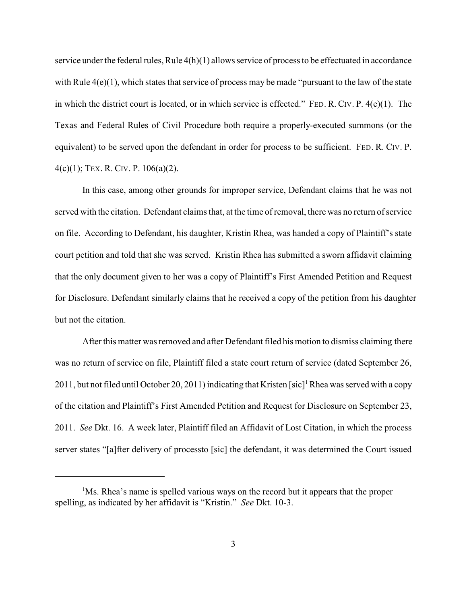service under the federal rules, Rule 4(h)(1) allows service of process to be effectuated in accordance with Rule  $4(e)(1)$ , which states that service of process may be made "pursuant to the law of the state" in which the district court is located, or in which service is effected." FED. R. CIV. P.  $4(e)(1)$ . The Texas and Federal Rules of Civil Procedure both require a properly-executed summons (or the equivalent) to be served upon the defendant in order for process to be sufficient. FED. R. CIV. P. 4(c)(1); TEX. R. CIV. P. 106(a)(2).

In this case, among other grounds for improper service, Defendant claims that he was not served with the citation. Defendant claims that, at the time of removal, there was no return of service on file. According to Defendant, his daughter, Kristin Rhea, was handed a copy of Plaintiff's state court petition and told that she was served. Kristin Rhea has submitted a sworn affidavit claiming that the only document given to her was a copy of Plaintiff's First Amended Petition and Request for Disclosure. Defendant similarly claims that he received a copy of the petition from his daughter but not the citation.

 After this matter was removed and after Defendant filed his motion to dismiss claiming there was no return of service on file, Plaintiff filed a state court return of service (dated September 26, 2011, but not filed until October 20, 2011) indicating that Kristen [sic]<sup>1</sup> Rhea was served with a copy of the citation and Plaintiff's First Amended Petition and Request for Disclosure on September 23, 2011. *See* Dkt. 16. A week later, Plaintiff filed an Affidavit of Lost Citation, in which the process server states "[a]fter delivery of processto [sic] the defendant, it was determined the Court issued

<sup>&</sup>lt;sup>1</sup>Ms. Rhea's name is spelled various ways on the record but it appears that the proper spelling, as indicated by her affidavit is "Kristin." *See* Dkt. 10-3.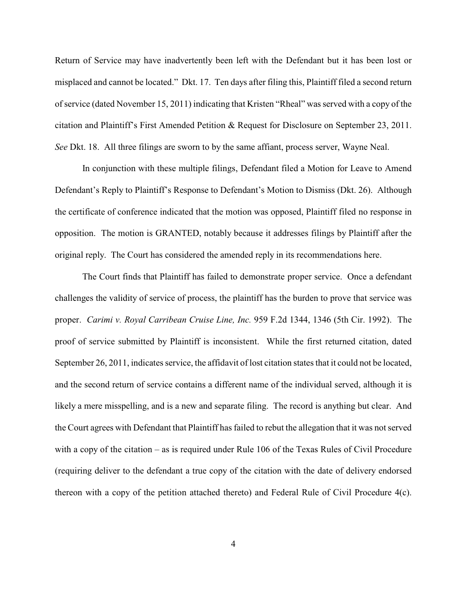Return of Service may have inadvertently been left with the Defendant but it has been lost or misplaced and cannot be located." Dkt. 17. Ten days after filing this, Plaintiff filed a second return of service (dated November 15, 2011) indicating that Kristen "Rheal" was served with a copy of the citation and Plaintiff's First Amended Petition & Request for Disclosure on September 23, 2011. *See* Dkt. 18. All three filings are sworn to by the same affiant, process server, Wayne Neal.

In conjunction with these multiple filings, Defendant filed a Motion for Leave to Amend Defendant's Reply to Plaintiff's Response to Defendant's Motion to Dismiss (Dkt. 26). Although the certificate of conference indicated that the motion was opposed, Plaintiff filed no response in opposition. The motion is GRANTED, notably because it addresses filings by Plaintiff after the original reply. The Court has considered the amended reply in its recommendations here.

The Court finds that Plaintiff has failed to demonstrate proper service. Once a defendant challenges the validity of service of process, the plaintiff has the burden to prove that service was proper. *Carimi v. Royal Carribean Cruise Line, Inc.* 959 F.2d 1344, 1346 (5th Cir. 1992). The proof of service submitted by Plaintiff is inconsistent. While the first returned citation, dated September 26, 2011, indicates service, the affidavit of lost citation states that it could not be located, and the second return of service contains a different name of the individual served, although it is likely a mere misspelling, and is a new and separate filing. The record is anything but clear. And the Court agrees with Defendant that Plaintiff has failed to rebut the allegation that it was not served with a copy of the citation – as is required under Rule 106 of the Texas Rules of Civil Procedure (requiring deliver to the defendant a true copy of the citation with the date of delivery endorsed thereon with a copy of the petition attached thereto) and Federal Rule of Civil Procedure 4(c).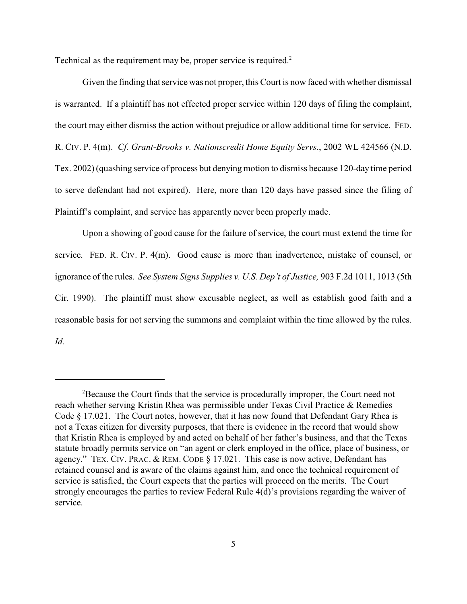Technical as the requirement may be, proper service is required.<sup>2</sup>

Given the finding that service was not proper, this Court is now faced with whether dismissal is warranted. If a plaintiff has not effected proper service within 120 days of filing the complaint, the court may either dismiss the action without prejudice or allow additional time for service. FED. R. CIV. P. 4(m). *Cf. Grant-Brooks v. Nationscredit Home Equity Servs.*, 2002 WL 424566 (N.D. Tex. 2002) (quashing service of process but denying motion to dismiss because 120-day time period to serve defendant had not expired). Here, more than 120 days have passed since the filing of Plaintiff's complaint, and service has apparently never been properly made.

Upon a showing of good cause for the failure of service, the court must extend the time for service. FED. R. CIV. P. 4(m). Good cause is more than inadvertence, mistake of counsel, or ignorance of the rules. *See System Signs Supplies v. U.S. Dep't of Justice,* 903 F.2d 1011, 1013 (5th Cir. 1990). The plaintiff must show excusable neglect, as well as establish good faith and a reasonable basis for not serving the summons and complaint within the time allowed by the rules. *Id.* 

<sup>&</sup>lt;sup>2</sup>Because the Court finds that the service is procedurally improper, the Court need not reach whether serving Kristin Rhea was permissible under Texas Civil Practice & Remedies Code § 17.021. The Court notes, however, that it has now found that Defendant Gary Rhea is not a Texas citizen for diversity purposes, that there is evidence in the record that would show that Kristin Rhea is employed by and acted on behalf of her father's business, and that the Texas statute broadly permits service on "an agent or clerk employed in the office, place of business, or agency." TEX. CIV. PRAC. & REM. CODE § 17.021. This case is now active, Defendant has retained counsel and is aware of the claims against him, and once the technical requirement of service is satisfied, the Court expects that the parties will proceed on the merits. The Court strongly encourages the parties to review Federal Rule 4(d)'s provisions regarding the waiver of service.